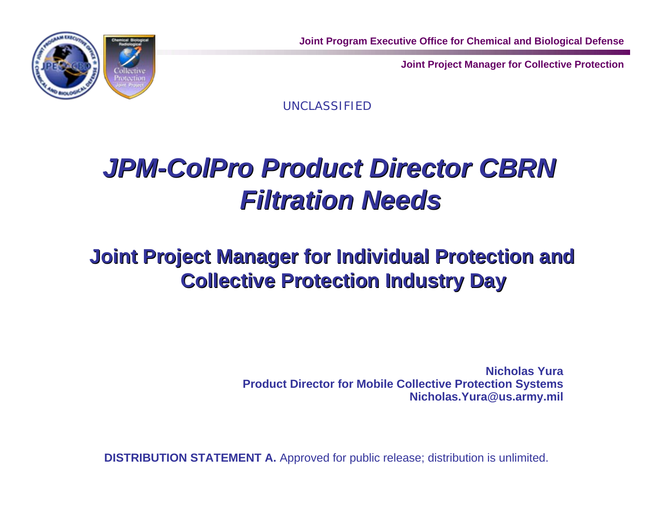



UNCLASSIFIED

## *JPM-ColPro Product Director CBRN JPM-ColPro Product Director CBRN Filtration Needs Filtration Needs*

### **Joint Project Manager for Individual Protection and Joint Project Manager for Individual Protection and Collective Protection Industry Day Collective Protection Industry Day**

**Nicholas Yura Product Director for Mobile Collective Protection Systems Nicholas.Yura@us.army.mil**

**DISTRIBUTION STATEMENT A.** Approved for public release; distribution is unlimited.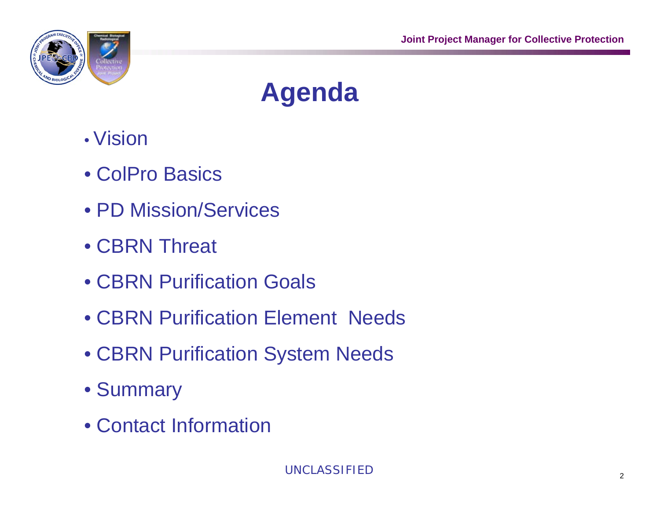

# **Agenda**

- Vision
- ColPro Basics
- PD Mission/Services
- CBRN Threat
- CBRN Purification Goals
- CBRN Purification Element Needs
- CBRN Purification System Needs
- Summary
- Contact Information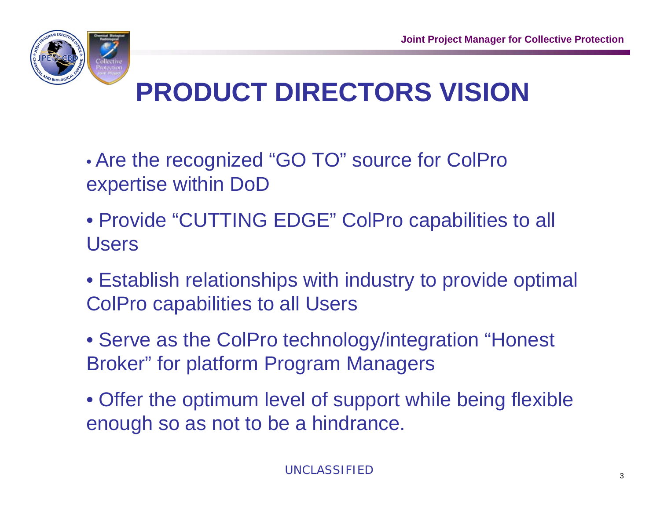

# **PRODUCT DIRECTORS VISION**

- Are the recognized "GO TO" source for ColPro expertise within DoD
- Provide "CUTTING EDGE" ColPro capabilities to all Users
- Establish relationships with industry to provide optimal ColPro capabilities to all Users
- Serve as the ColPro technology/integration "Honest Broker" for platform Program Managers
- Offer the optimum level of support while being flexible enough so as not to be a hindrance.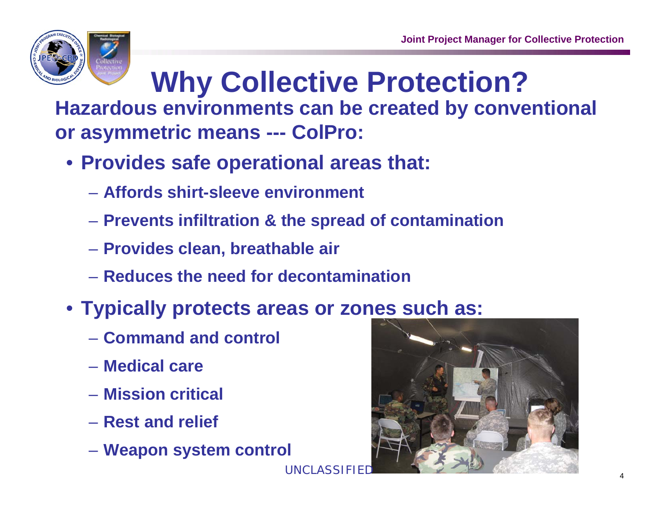

# **Why Collective Protection?**

**Hazardous environments can be created by conventional or asymmetric means --- ColPro:**

**UNCLASSIFIE** 

- **Provides safe operational areas that:**
	- **Affords shirt-sleeve environment**
	- **Prevents infiltration & the spread of contamination**
	- **Provides clean, breathable air**
	- **Reduces the need for decontamination**
- **Typically protects areas or zones such as:**
	- **Command and control**
	- **Medical care**
	- **Mission critical**
	- **Rest and relief**
	- **Weapon system control**

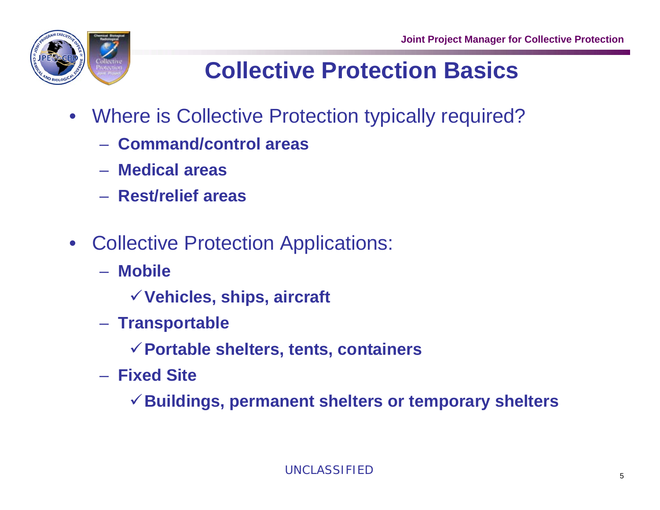

### **Collective Protection Basics**

- Where is Collective Protection typically required?
	- **Command/control areas**
	- **Medical areas**
	- **Rest/relief areas**
- Collective Protection Applications:
	- **Mobile**
		- <sup>9</sup>**Vehicles, ships, aircraft**
	- **Transportable**
		- <sup>9</sup>**Portable shelters, tents, containers**
	- **Fixed Site**

<sup>9</sup>**Buildings, permanent shelters or temporary shelters**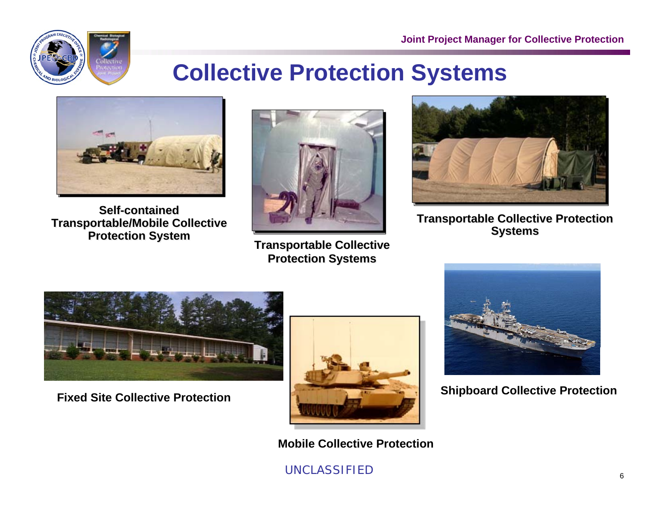

### **Collective Protection Systems**



**Self-contained Self-contained Transportable/Mobile Collective Transportable/Mobile Collective Protection System Protection System**



**Transportable Collective Transportable Collective Protection Systems Protection Systems** 



**Transportable Collective Protection Transportable Collective Protection Systems Systems**

**Shipboard Collective Protection**



**Fixed Site Collective Protection**



**Mobile Collective Protection**

#### UNCLASSIFIED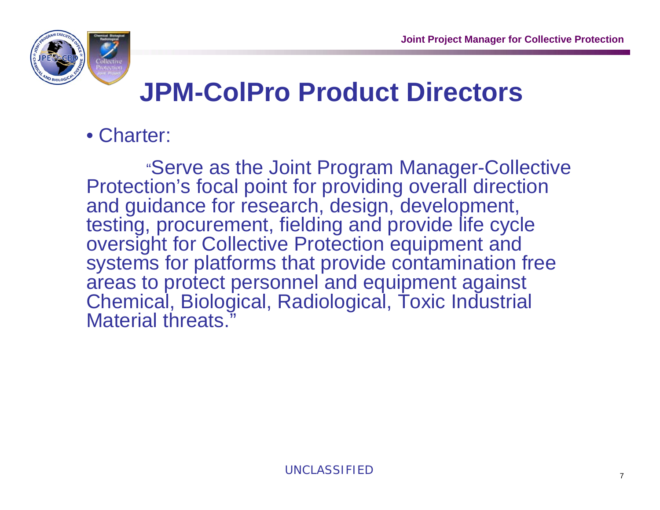

## **JPM-ColPro Product Directors**

### • Charter:

"Serve as the Joint Program Manager-Collective Protection's focal point for providing overall direction and guidance for research, design, development, testing, procurement, fielding and provide life cycle oversight for Collective Protection equipment and systems for platforms that provide contamination free areas to protect personnel and equipment against Chemical, Biological, Radiological, Toxic Industrial Material threats."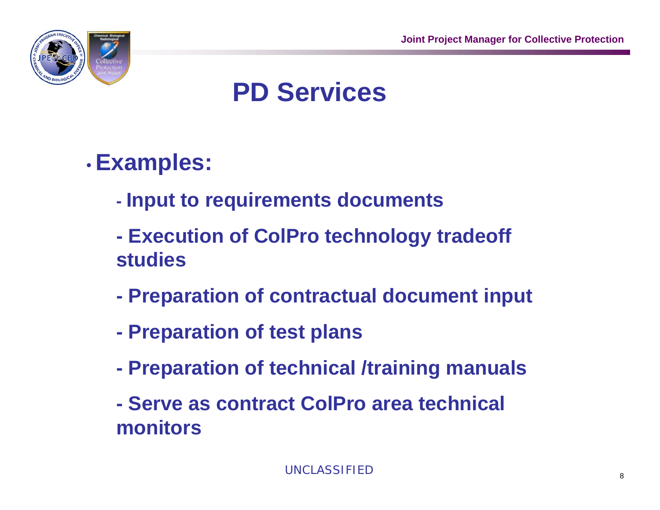

## **PD Services**

#### •**Examples:**

- **Input to requirements documents**
- **Execution of ColPro technology tradeoff studies**
- **Preparation of contractual document input**
- **Preparation of test plans**
- **Preparation of technical /training manuals**
- **Serve as contract ColPro area technical monitors**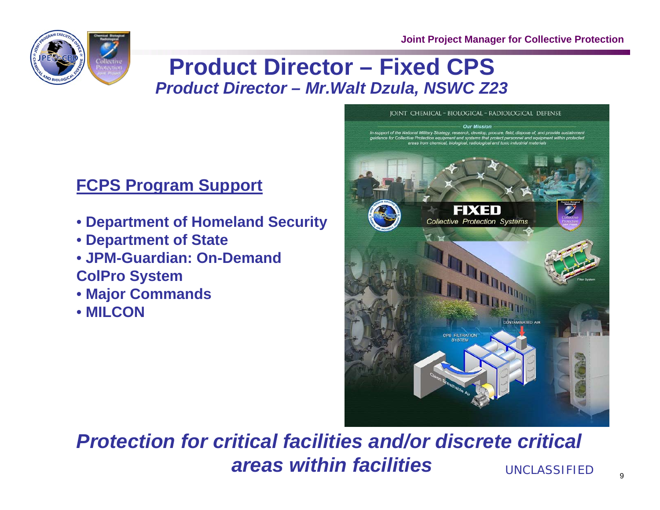

### **Product Director – Fixed CPS**  *Product Director – Mr.Walt Dzula, NSWC Z23*

### **FCPS Program Support**

- **Department of Homeland Security**
- **Department of State**
- **JPM-Guardian: On-Demand ColPro System**
- **Major Commands**
- **MILCON**



#### *Protection for critical facilities and/or discrete critical areas within facilities*UNCLASSIFIED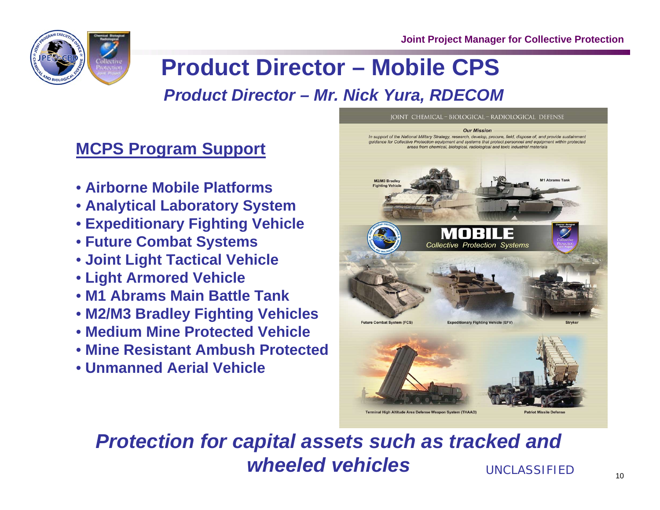

### **Product Director – Mobile CPS**  *Product Director – Mr. Nick Yura, RDECOM*

#### **MCPS Program Support**

- **Airborne Mobile Platforms**
- **Analytical Laboratory System**
- **Expeditionary Fighting Vehicle**
- **Future Combat Systems**
- **Joint Light Tactical Vehicle**
- **Light Armored Vehicle**
- **M1 Abrams Main Battle Tank**
- **M2/M3 Bradley Fighting Vehicles**
- **Medium Mine Protected Vehicle**
- **Mine Resistant Ambush Protected**
- **Unmanned Aerial Vehicle**



IOINT CHEMICAL - BIOLOGICAL - RADIOLOGICAL DEFENSE

Terminal High Altitude Area Defense Weapon System (THAAD)

#### *Protection for capital assets such as tracked and wheeled vehicles*UNCLASSIFIED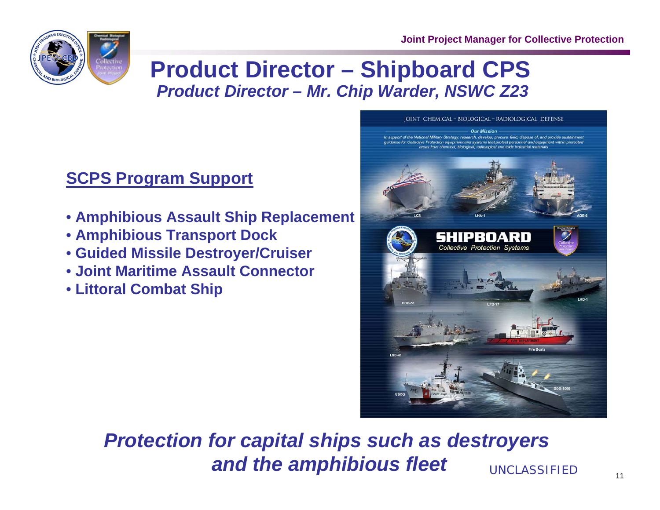

### **Product Director – Shipboard CPS**  *Product Director – Mr. Chip Warder, NSWC Z23*

### **SCPS Program Support**

- **Amphibious Assault Ship Replacement**
- **Amphibious Transport Dock**
- **Guided Missile Destroyer/Cruiser**
- **Joint Maritime Assault Connector**
- **Littoral Combat Ship**



#### *Protection for capital ships such as destroyers and the amphibious fleet* UNCLASSIFIED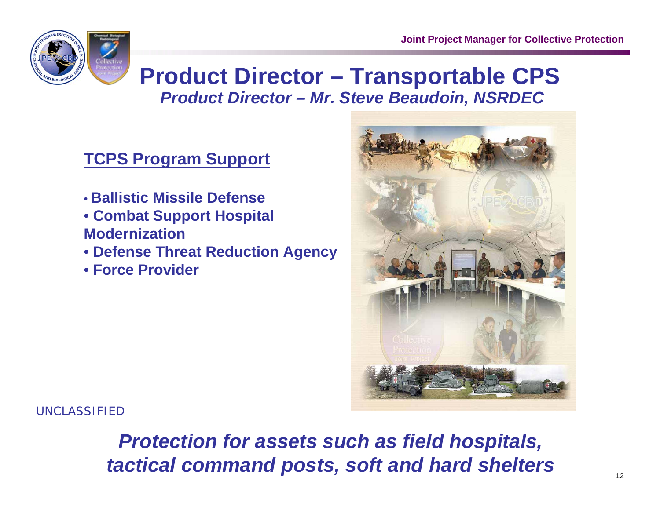

### **Product Director – Transportable CPS**  *Product Director – Mr. Steve Beaudoin, NSRDEC*

### **TCPS Program Support**

- **Ballistic Missile Defense**
- **Combat Support Hospital Modernization**
- **Defense Threat Reduction Agency**
- **Force Provider**



UNCLASSIFIED

*Protection for assets such as field hospitals, tactical command posts, soft and hard shelters*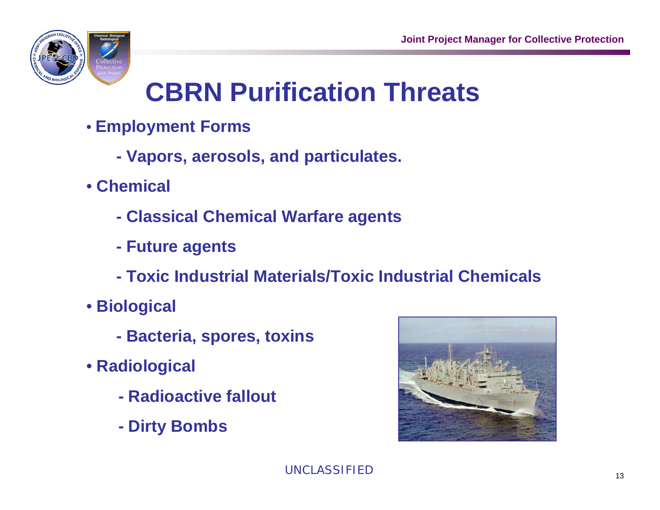

## **CBRN Purification Threats**

- **Employment Forms**
	- **Vapors, aerosols, and particulates.**
- **Chemical**
	- **Classical Chemical Warfare agents**
	- **Future agents**
	- **Toxic Industrial Materials/Toxic Industrial Chemicals**
- **Biological** 
	- **Bacteria, spores, toxins**
- **Radiological**
	- **Radioactive fallout**
	- **- Dirty Bombs**

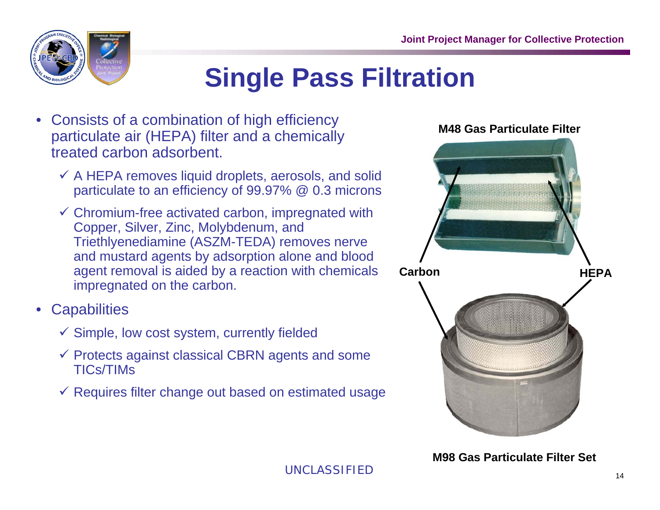

## **Single Pass Filtration**

- Consists of a combination of high efficiency particulate air (HEPA) filter and a chemically treated carbon adsorbent.
	- $\checkmark$  A HEPA removes liquid droplets, aerosols, and solid particulate to an efficiency of 99.97% @ 0.3 microns
	- $\checkmark$  Chromium-free activated carbon, impregnated with Copper, Silver, Zinc, Molybdenum, and Triethlyenediamine (ASZM-TEDA) removes nerve and mustard agents by adsorption alone and blood agent removal is aided by a reaction with chemicals impregnated on the carbon.
- **Capabilities** 
	- $\checkmark$  Simple, low cost system, currently fielded
	- $\checkmark$  Protects against classical CBRN agents and some TICs/TIMs
	- $\checkmark$  Requires filter change out based on estimated usage

#### **M48 Gas Particulate Filter**



**M98 Gas Particulate Filter Set**

UNCLASSIFIED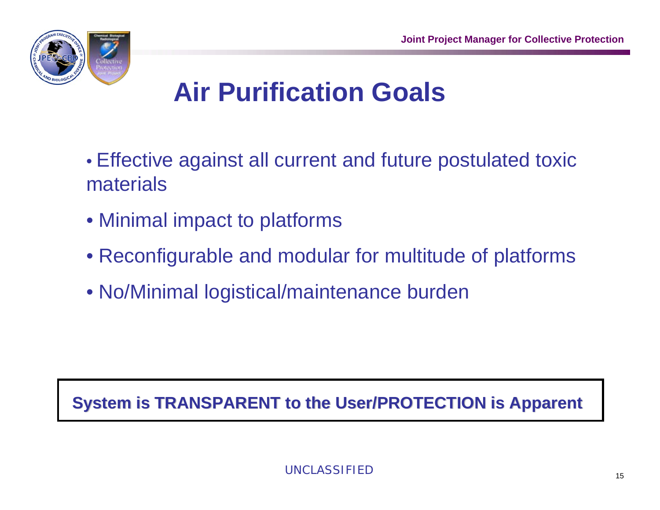

## **Air Purification Goals**

- Effective against all current and future postulated toxic materials
- Minimal impact to platforms
- Reconfigurable and modular for multitude of platforms
- No/Minimal logistical/maintenance burden

### **System is TRANSPARENT to the User/PROTECTION is Apparent**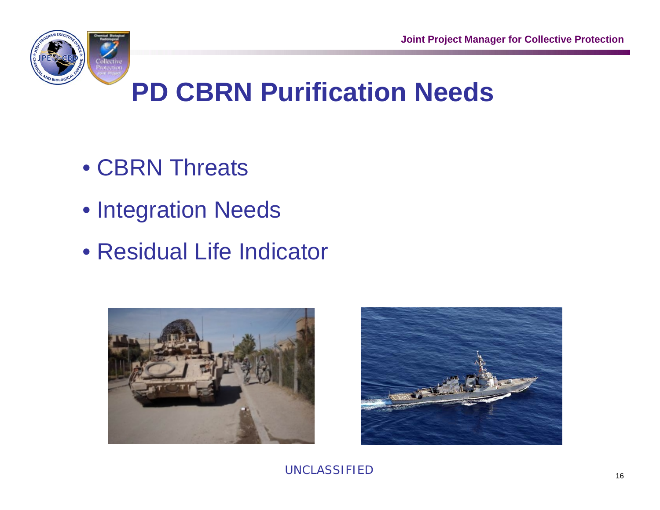

## **PD CBRN Purification Needs**

- CBRN Threats
- Integration Needs
- Residual Life Indicator



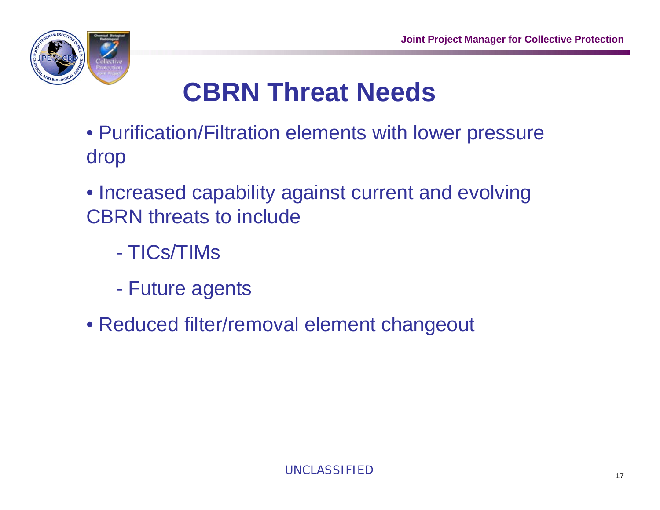

## **CBRN Threat Needs**

- Purification/Filtration elements with lower pressure drop
- Increased capability against current and evolving CBRN threats to include
	- TICs/TIMs
	- Future agents
- Reduced filter/removal element changeout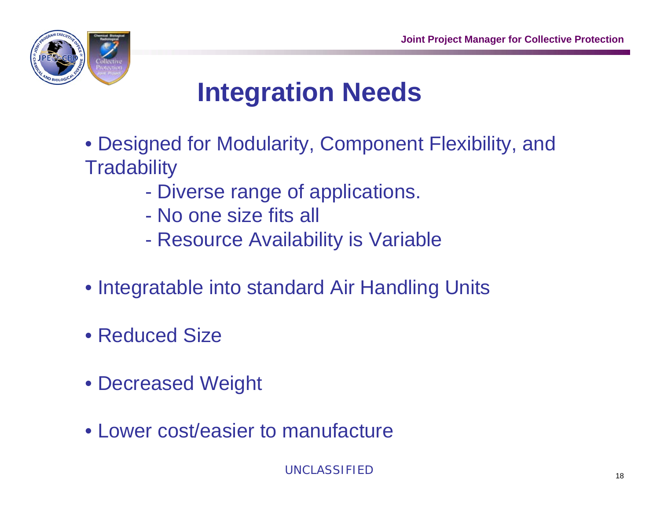

## **Integration Needs**

- Designed for Modularity, Component Flexibility, and **Tradability** 
	- Diverse range of applications.
	- No one size fits all
	- Resource Availability is Variable
- Integratable into standard Air Handling Units
- Reduced Size
- Decreased Weight
- Lower cost/easier to manufacture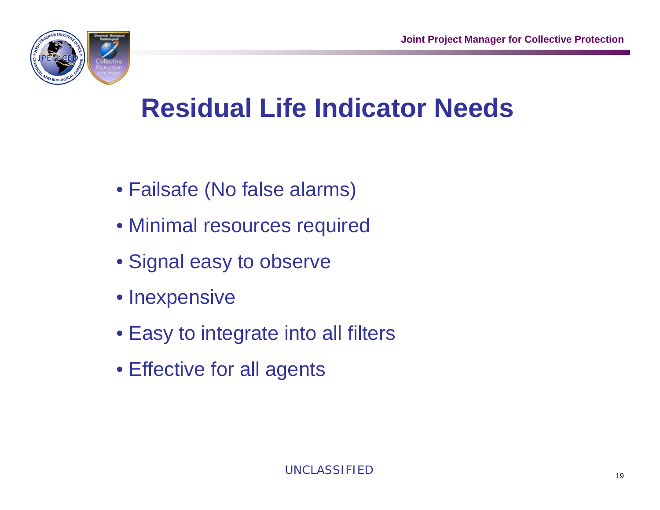

### **Residual Life Indicator Needs**

- Failsafe (No false alarms)
- Minimal resources required
- Signal easy to observe
- Inexpensive
- Easy to integrate into all filters
- Effective for all agents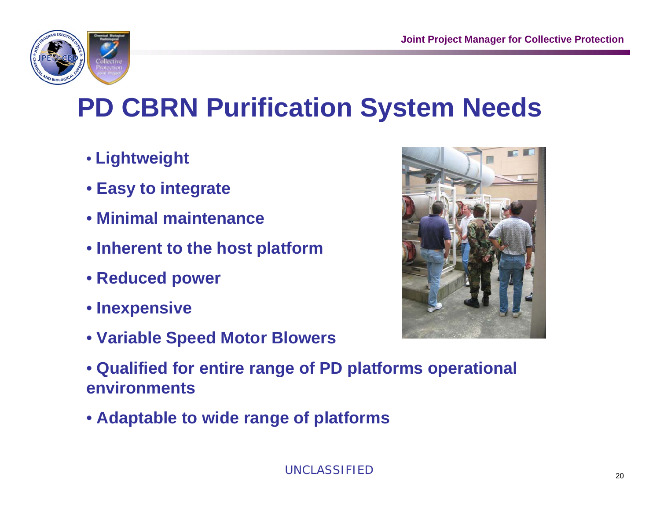

## **PD CBRN Purification System Needs**

- **Lightweight**
- **Easy to integrate**
- **Minimal maintenance**
- **Inherent to the host platform**
- **Reduced power**
- **Inexpensive**
- **Variable Speed Motor Blowers**



- **Qualified for entire range of PD platforms operational environments**
- **Adaptable to wide range of platforms**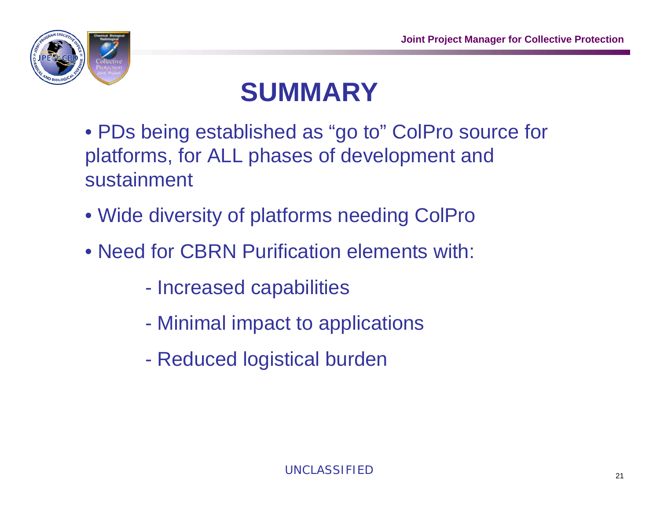

## **SUMMARY**

- PDs being established as "go to" ColPro source for platforms, for ALL phases of development and sustainment
- Wide diversity of platforms needing ColPro
- Need for CBRN Purification elements with:
	- Increased capabilities
	- Minimal impact to applications
	- Reduced logistical burden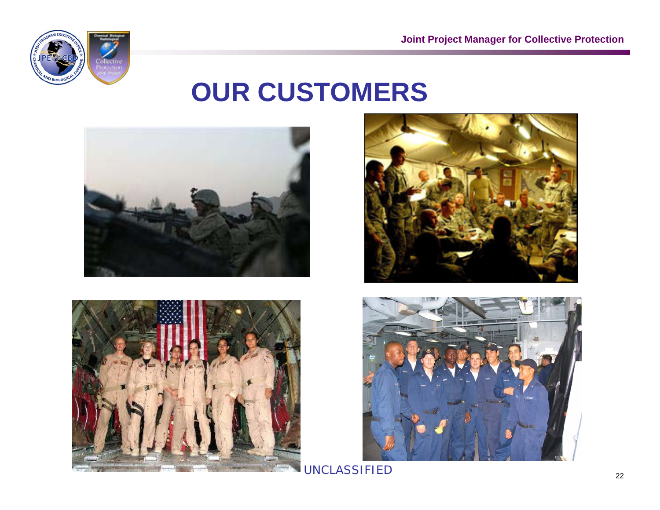

### **OUR CUSTOMERS**









UNCLASSIFIED